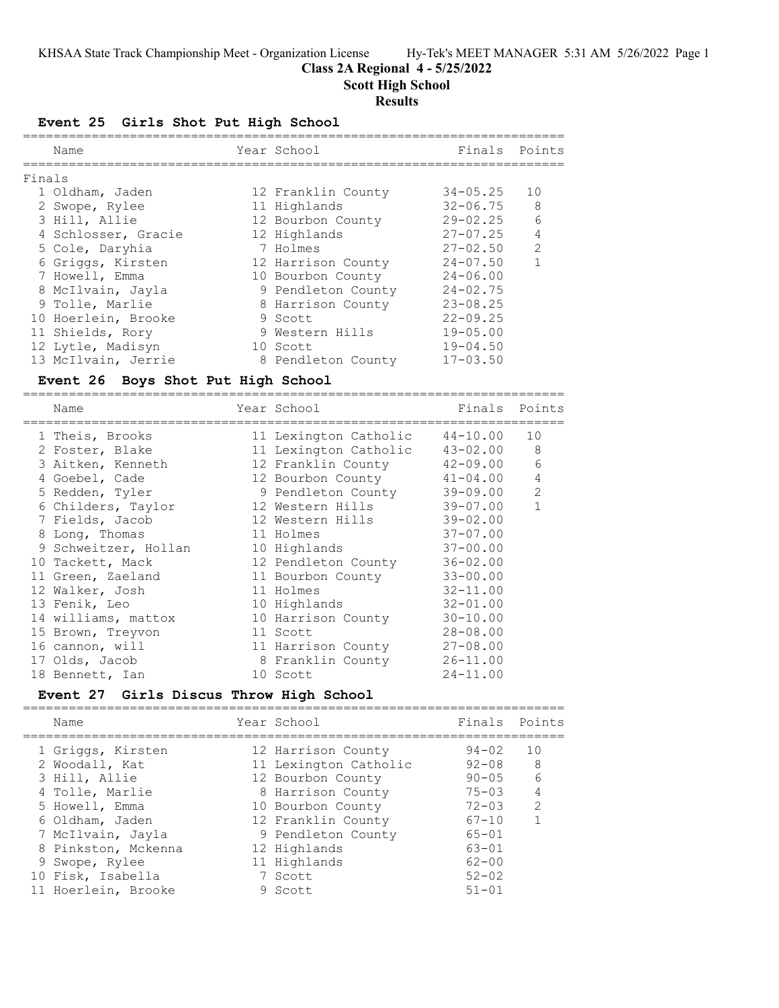# **Class 2A Regional 4 - 5/25/2022**

**Scott High School**

## **Results**

## **Event 25 Girls Shot Put High School**

|        | Name                | Year School        | Finals Points |                |
|--------|---------------------|--------------------|---------------|----------------|
| Finals |                     |                    |               |                |
|        | 1 Oldham, Jaden     | 12 Franklin County | $34 - 05.25$  | 10             |
|        | 2 Swope, Rylee      | 11 Highlands       | 32-06.75      | 8              |
|        | 3 Hill, Allie       | 12 Bourbon County  | $29 - 02.25$  | 6              |
|        | 4 Schlosser, Gracie | 12 Highlands       | $27 - 07.25$  | 4              |
|        | 5 Cole, Daryhia     | 7 Holmes           | $27 - 02.50$  | $\overline{2}$ |
|        | 6 Griggs, Kirsten   | 12 Harrison County | $24 - 07.50$  |                |
|        | 7 Howell, Emma      | 10 Bourbon County  | $24 - 06.00$  |                |
|        | 8 McIlvain, Jayla   | 9 Pendleton County | $24 - 02.75$  |                |
|        | 9 Tolle, Marlie     | 8 Harrison County  | $23 - 08.25$  |                |
|        | 10 Hoerlein, Brooke | 9 Scott            | $22 - 09.25$  |                |
|        | 11 Shields, Rory    | 9 Western Hills    | $19 - 05.00$  |                |
|        | 12 Lytle, Madisyn   | 10 Scott           | $19 - 04.50$  |                |
|        | 13 McIlvain, Jerrie | 8 Pendleton County | $17 - 03.50$  |                |

### **Event 26 Boys Shot Put High School**

=======================================================================

| Name                 | Year School           |              | Finals Points  |
|----------------------|-----------------------|--------------|----------------|
| 1 Theis, Brooks      | 11 Lexington Catholic | 44-10.00     | 10             |
| 2 Foster, Blake      | 11 Lexington Catholic | $43 - 02.00$ | 8              |
| 3 Aitken, Kenneth    | 12 Franklin County    | 42-09.00     | 6              |
| 4 Goebel, Cade       | 12 Bourbon County     | $41 - 04.00$ | $\overline{4}$ |
| 5 Redden, Tyler      | 9 Pendleton County    | 39-09.00     | 2              |
| 6 Childers, Taylor   | 12 Western Hills      | 39-07.00     | $\mathbf{1}$   |
| 7 Fields, Jacob      | 12 Western Hills      | $39 - 02.00$ |                |
| 8 Long, Thomas       | 11 Holmes             | $37 - 07.00$ |                |
| 9 Schweitzer, Hollan | 10 Highlands          | $37 - 00.00$ |                |
| 10 Tackett, Mack     | 12 Pendleton County   | $36 - 02.00$ |                |
| 11 Green, Zaeland    | 11 Bourbon County     | $33 - 00.00$ |                |
| 12 Walker, Josh      | 11 Holmes             | $32 - 11.00$ |                |
| 13 Fenik, Leo        | 10 Highlands          | $32 - 01.00$ |                |
| 14 williams, mattox  | 10 Harrison County    | $30 - 10.00$ |                |
| 15 Brown, Treyvon    | 11 Scott              | $28 - 08.00$ |                |
| 16 cannon, will      | 11 Harrison County    | $27 - 08.00$ |                |
| 17 Olds, Jacob       | 8 Franklin County     | $26 - 11.00$ |                |
| 18 Bennett, Ian      | 10 Scott              | $24 - 11.00$ |                |

#### **Event 27 Girls Discus Throw High School**

=======================================================================

| Name                | Year School           | Finals Points |                |
|---------------------|-----------------------|---------------|----------------|
| 1 Griggs, Kirsten   | 12 Harrison County    | $94 - 02$     | 10             |
| 2 Woodall, Kat      | 11 Lexington Catholic | $92 - 08$     | - 8            |
| 3 Hill, Allie       | 12 Bourbon County     | $90 - 05$     | - 6            |
| 4 Tolle, Marlie     | 8 Harrison County     | $75 - 03$     | $\overline{4}$ |
| 5 Howell, Emma      | 10 Bourbon County     | $72 - 03$     | $\mathcal{L}$  |
| 6 Oldham, Jaden     | 12 Franklin County    | $67 - 10$     |                |
| 7 McIlvain, Jayla   | 9 Pendleton County    | $65 - 01$     |                |
| 8 Pinkston, Mckenna | 12 Highlands          | $63 - 01$     |                |
| 9 Swope, Rylee      | 11 Highlands          | $62 - 00$     |                |
| 10 Fisk, Isabella   | 7 Scott               | $52 - 02$     |                |
| 11 Hoerlein, Brooke | 9 Scott               | $51 - 01$     |                |
|                     |                       |               |                |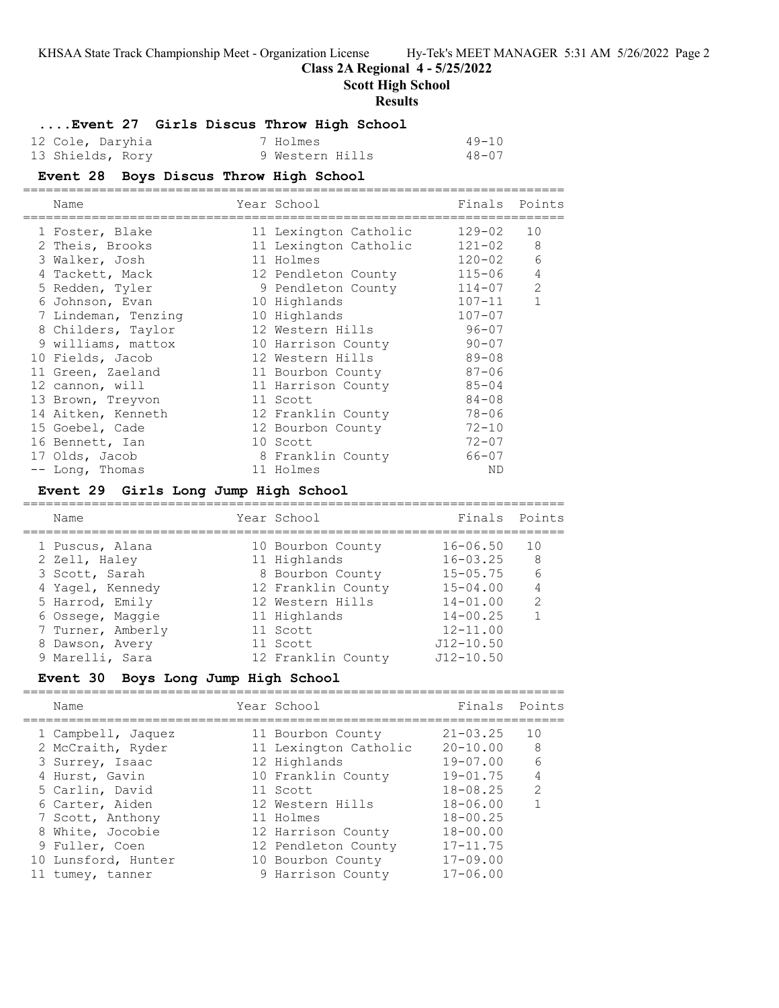## **Class 2A Regional 4 - 5/25/2022**

**Scott High School**

### **Results**

**....Event 27 Girls Discus Throw High School**

| 12 Cole, Daryhia | 7 Holmes        | $49 - 10$ |
|------------------|-----------------|-----------|
| 13 Shields, Rory | 9 Western Hills | $48 - 07$ |

### **Event 28 Boys Discus Throw High School**

| Name                | Year School           | Finals Points |                |
|---------------------|-----------------------|---------------|----------------|
| 1 Foster, Blake     | 11 Lexington Catholic | $129 - 02$    | 10             |
| 2 Theis, Brooks     | 11 Lexington Catholic | $121 - 02$    | 8              |
| 3 Walker, Josh      | 11 Holmes             | $120 - 02$    | 6              |
| 4 Tackett, Mack     | 12 Pendleton County   | 115-06        | $\overline{4}$ |
| 5 Redden, Tyler     | 9 Pendleton County    | 114-07        | 2              |
| 6 Johnson, Evan     | 10 Highlands          | $107 - 11$    | $\mathbf{1}$   |
| 7 Lindeman, Tenzing | 10 Highlands          | $107 - 07$    |                |
| 8 Childers, Taylor  | 12 Western Hills      | $96 - 07$     |                |
| 9 williams, mattox  | 10 Harrison County    | $90 - 07$     |                |
| 10 Fields, Jacob    | 12 Western Hills      | $89 - 08$     |                |
| 11 Green, Zaeland   | 11 Bourbon County     | $87 - 06$     |                |
| 12 cannon, will     | 11 Harrison County    | $85 - 04$     |                |
| 13 Brown, Treyvon   | 11 Scott              | $84 - 08$     |                |
| 14 Aitken, Kenneth  | 12 Franklin County    | $78 - 06$     |                |
| 15 Goebel, Cade     | 12 Bourbon County     | $72 - 10$     |                |
| 16 Bennett, Ian     | 10 Scott              | $72 - 07$     |                |
| 17 Olds, Jacob      | 8 Franklin County     | 66-07         |                |
| -- Long, Thomas     | 11 Holmes             | ND            |                |
|                     |                       |               |                |

### **Event 29 Girls Long Jump High School**

| Name              | Year School        | Finals Points |               |
|-------------------|--------------------|---------------|---------------|
| 1 Puscus, Alana   | 10 Bourbon County  | $16 - 06.50$  | 10            |
| 2 Zell, Haley     | 11 Highlands       | $16 - 03.25$  | 8             |
| 3 Scott, Sarah    | 8 Bourbon County   | $15 - 05.75$  | 6             |
| 4 Yagel, Kennedy  | 12 Franklin County | $15 - 04.00$  |               |
| 5 Harrod, Emily   | 12 Western Hills   | $14 - 01.00$  | $\mathcal{L}$ |
| 6 Ossege, Maggie  | 11 Highlands       | $14 - 00.25$  |               |
| 7 Turner, Amberly | 11 Scott           | $12 - 11.00$  |               |
| 8 Dawson, Avery   | 11 Scott           | $J12 - 10.50$ |               |
| 9 Marelli, Sara   | 12 Franklin County | $J12 - 10.50$ |               |
|                   |                    |               |               |

# **Event 30 Boys Long Jump High School**

| Name                | Year School           | Finals Points |               |
|---------------------|-----------------------|---------------|---------------|
| 1 Campbell, Jaquez  | 11 Bourbon County     | $21 - 03.25$  | 10            |
| 2 McCraith, Ryder   | 11 Lexington Catholic | $20 - 10.00$  | 8             |
| 3 Surrey, Isaac     | 12 Highlands          | $19 - 07.00$  | 6             |
| 4 Hurst, Gavin      | 10 Franklin County    | $19 - 01.75$  | 4             |
| 5 Carlin, David     | 11 Scott              | $18 - 08.25$  | $\mathcal{P}$ |
| 6 Carter, Aiden     | 12 Western Hills      | $18 - 06.00$  |               |
| 7 Scott, Anthony    | 11 Holmes             | $18 - 00.25$  |               |
| 8 White, Jocobie    | 12 Harrison County    | $18 - 00.00$  |               |
| 9 Fuller, Coen      | 12 Pendleton County   | $17 - 11.75$  |               |
| 10 Lunsford, Hunter | 10 Bourbon County     | $17 - 09.00$  |               |
| 11 tumey, tanner    | 9 Harrison County     | $17 - 06.00$  |               |
|                     |                       |               |               |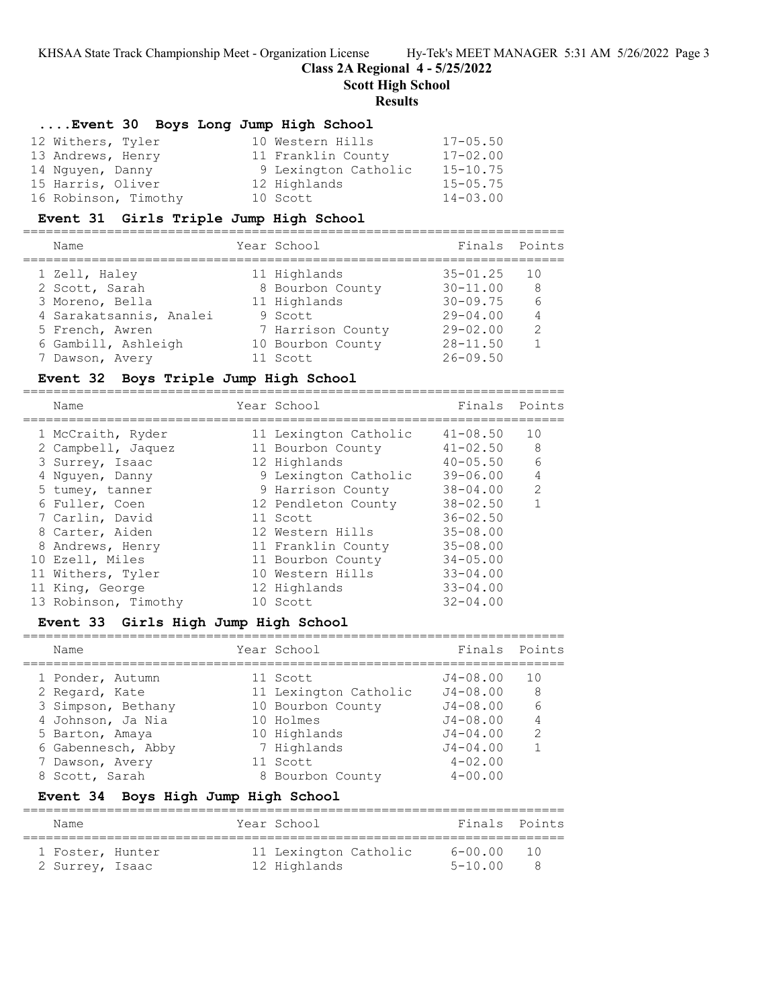**Class 2A Regional 4 - 5/25/2022**

=======================================================================

**Scott High School**

#### **Results**

## **....Event 30 Boys Long Jump High School**

| 12 Withers, Tyler    | 10 Western Hills     | $17 - 05.50$ |
|----------------------|----------------------|--------------|
| 13 Andrews, Henry    | 11 Franklin County   | $17 - 02.00$ |
| 14 Nguyen, Danny     | 9 Lexington Catholic | $15 - 10.75$ |
| 15 Harris, Oliver    | 12 Highlands         | $15 - 05.75$ |
| 16 Robinson, Timothy | 10 Scott             | $14 - 03.00$ |

### **Event 31 Girls Triple Jump High School**

| Name                    | Year School       | Finals Points |               |
|-------------------------|-------------------|---------------|---------------|
| 1 Zell, Haley           | 11 Highlands      | $35 - 01.25$  | 10            |
| 2 Scott, Sarah          | 8 Bourbon County  | $30 - 11.00$  | 8             |
| 3 Moreno, Bella         | 11 Highlands      | $30 - 09.75$  |               |
| 4 Sarakatsannis, Analei | 9 Scott           | $29 - 04.00$  |               |
| 5 French, Awren         | 7 Harrison County | $29 - 02.00$  | $\mathcal{L}$ |
| 6 Gambill, Ashleigh     | 10 Bourbon County | $28 - 11.50$  |               |
| 7 Dawson, Avery         | 11 Scott          | $26 - 09.50$  |               |
|                         |                   |               |               |

### **Event 32 Boys Triple Jump High School**

| Name                 |  | Finals Points                                                                                                                                                                                                                                                            |                |
|----------------------|--|--------------------------------------------------------------------------------------------------------------------------------------------------------------------------------------------------------------------------------------------------------------------------|----------------|
| 1 McCraith, Ryder    |  | $41 - 08.50$                                                                                                                                                                                                                                                             | 10             |
| 2 Campbell, Jaquez   |  | $41 - 02.50$                                                                                                                                                                                                                                                             | 8              |
| 3 Surrey, Isaac      |  | $40 - 05.50$                                                                                                                                                                                                                                                             | 6              |
| 4 Nguyen, Danny      |  | $39 - 06.00$                                                                                                                                                                                                                                                             | $\overline{4}$ |
| 5 tumey, tanner      |  | $38 - 04.00$                                                                                                                                                                                                                                                             | $\mathcal{L}$  |
| 6 Fuller, Coen       |  | $38 - 02.50$                                                                                                                                                                                                                                                             |                |
| 7 Carlin, David      |  | $36 - 02.50$                                                                                                                                                                                                                                                             |                |
| 8 Carter, Aiden      |  | $35 - 08.00$                                                                                                                                                                                                                                                             |                |
| 8 Andrews, Henry     |  | $35 - 08.00$                                                                                                                                                                                                                                                             |                |
| 10 Ezell, Miles      |  | $34 - 05.00$                                                                                                                                                                                                                                                             |                |
| 11 Withers, Tyler    |  | $33 - 04.00$                                                                                                                                                                                                                                                             |                |
| 11 King, George      |  | $33 - 04.00$                                                                                                                                                                                                                                                             |                |
| 13 Robinson, Timothy |  | $32 - 04.00$                                                                                                                                                                                                                                                             |                |
|                      |  | Year School<br>11 Lexington Catholic<br>11 Bourbon County<br>12 Highlands<br>9 Lexington Catholic<br>9 Harrison County<br>12 Pendleton County<br>11 Scott<br>12 Western Hills<br>11 Franklin County<br>11 Bourbon County<br>10 Western Hills<br>12 Highlands<br>10 Scott |                |

### **Event 33 Girls High Jump High School**

| Name                                                       | Year School                                            | Finals Points                                |               |
|------------------------------------------------------------|--------------------------------------------------------|----------------------------------------------|---------------|
| 1 Ponder, Autumn<br>2 Regard, Kate                         | 11 Scott<br>11 Lexington Catholic<br>10 Bourbon County | $J4 - 08.00$<br>$J4 - 08.00$<br>$J4 - 08.00$ | 1 O<br>8      |
| 3 Simpson, Bethany<br>4 Johnson, Ja Nia<br>5 Barton, Amaya | 10 Holmes<br>10 Highlands                              | $J4 - 08.00$<br>$J4 - 04.00$                 | $\mathcal{L}$ |
| 6 Gabennesch, Abby<br>7 Dawson, Avery<br>8 Scott, Sarah    | 7 Highlands<br>11 Scott<br>8 Bourbon County            | $J4 - 04.00$<br>$4 - 02.00$<br>$4 - 00.00$   |               |

# **Event 34 Boys High Jump High School**

| Name             |  | Year School           | Finals Points |        |
|------------------|--|-----------------------|---------------|--------|
| 1 Foster, Hunter |  | 11 Lexington Catholic | 6-00.00       | $\Box$ |
| 2 Surrey, Isaac  |  | 12 Highlands          | 5-10 00       |        |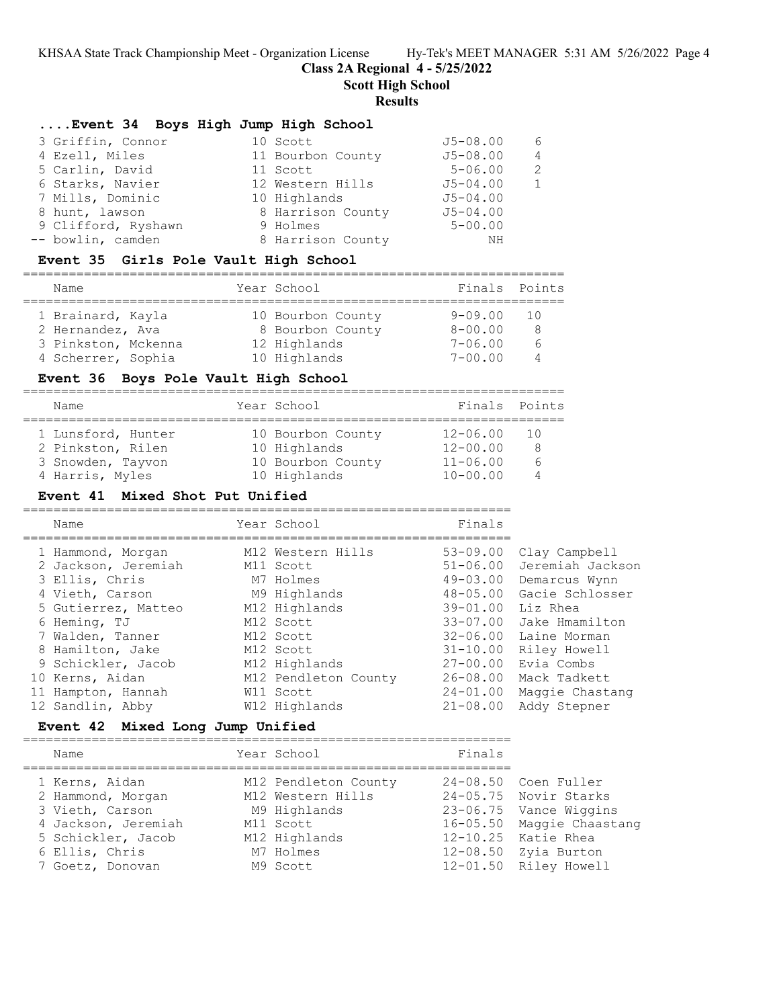**Class 2A Regional 4 - 5/25/2022**

**Scott High School**

## **Results**

| Event 34 Boys High Jump High School |  |  |  |  |  |  |
|-------------------------------------|--|--|--|--|--|--|
|-------------------------------------|--|--|--|--|--|--|

| 3 Griffin, Connor   | 10 Scott          | $J5 - 08.00$ | 6 |
|---------------------|-------------------|--------------|---|
| 4 Ezell, Miles      | 11 Bourbon County | $J5 - 08.00$ | 4 |
| 5 Carlin, David     | 11 Scott          | $5 - 06.00$  | 2 |
| 6 Starks, Navier    | 12 Western Hills  | $J5 - 04.00$ |   |
| 7 Mills, Dominic    | 10 Highlands      | $J5 - 04.00$ |   |
| 8 hunt, lawson      | 8 Harrison County | $J5 - 04.00$ |   |
| 9 Clifford, Ryshawn | 9 Holmes          | $5 - 00.00$  |   |
| -- bowlin, camden   | 8 Harrison County | ΝH           |   |

### **Event 35 Girls Pole Vault High School**

| Name                                  | Year School |                                       | Finals Points          |        |  |  |  |  |
|---------------------------------------|-------------|---------------------------------------|------------------------|--------|--|--|--|--|
| 1 Brainard, Kayla<br>2 Hernandez, Ava |             | 10 Bourbon County<br>8 Bourbon County | 9-09.00<br>$8 - 00.00$ | - T () |  |  |  |  |
| 3 Pinkston, Mckenna                   |             | 12 Highlands                          | $7 - 06.00$            |        |  |  |  |  |

### **Event 36 Boys Pole Vault High School**

| Name                                                                            |  | Year School                                                            | Finals Points                                            |               |  |  |  |  |
|---------------------------------------------------------------------------------|--|------------------------------------------------------------------------|----------------------------------------------------------|---------------|--|--|--|--|
| 1 Lunsford, Hunter<br>2 Pinkston, Rilen<br>3 Snowden, Tayvon<br>4 Harris, Myles |  | 10 Bourbon County<br>10 Highlands<br>10 Bourbon County<br>10 Highlands | 12-06.00<br>$12 - 00.00$<br>$11 - 06.00$<br>$10 - 00.00$ | 1 O<br>8<br>ี |  |  |  |  |

4 Scherrer, Sophia 10 Highlands 7-00.00 4

#### **Event 41 Mixed Shot Put Unified**

================================================================

| Name                | Year School          | Finals       |                  |
|---------------------|----------------------|--------------|------------------|
| 1 Hammond, Morgan   | M12 Western Hills    | $53 - 09.00$ | Clay Campbell    |
| 2 Jackson, Jeremiah | M11 Scott            | $51 - 06.00$ | Jeremiah Jackson |
| 3 Ellis, Chris      | M7 Holmes            | $49 - 03.00$ | Demarcus Wynn    |
| 4 Vieth, Carson     | M9 Highlands         | $48 - 05.00$ | Gacie Schlosser  |
| 5 Gutierrez, Matteo | M12 Highlands        | $39 - 01.00$ | Liz Rhea         |
| 6 Heming, TJ        | M12 Scott            | $33 - 07.00$ | Jake Hmamilton   |
| 7 Walden, Tanner    | M12 Scott            | $32 - 06.00$ | Laine Morman     |
| 8 Hamilton, Jake    | M12 Scott            | $31 - 10.00$ | Riley Howell     |
| 9 Schickler, Jacob  | M12 Highlands        | $27 - 00.00$ | Evia Combs       |
| 10 Kerns, Aidan     | M12 Pendleton County | 26-08.00     | Mack Tadkett     |
| 11 Hampton, Hannah  | W11 Scott            | $24 - 01.00$ | Maggie Chastang  |
| 12 Sandlin, Abby    | W12 Highlands        | $21 - 08.00$ | Addy Stepner     |

### **Event 42 Mixed Long Jump Unified**

================================================================

| Name                | Year School          | Finals |                           |
|---------------------|----------------------|--------|---------------------------|
| 1 Kerns, Aidan      | M12 Pendleton County |        | 24-08.50 Coen Fuller      |
| 2 Hammond, Morgan   | M12 Western Hills    |        | 24-05.75 Novir Starks     |
| 3 Vieth, Carson     | M9 Highlands         |        | 23-06.75 Vance Wiggins    |
| 4 Jackson, Jeremiah | M11 Scott            |        | 16-05.50 Maggie Chaastang |
| 5 Schickler, Jacob  | M12 Highlands        |        | 12-10.25 Katie Rhea       |
| 6 Ellis, Chris      | M7 Holmes            |        | 12-08.50 Zyia Burton      |
| 7 Goetz, Donovan    | M9 Scott             |        | 12-01.50 Riley Howell     |